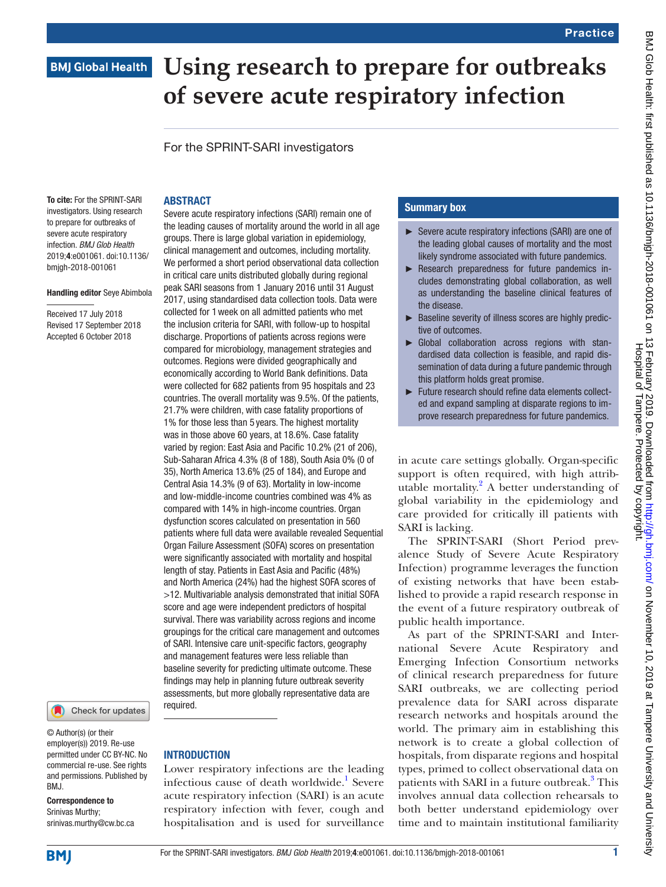# **Using research to prepare for outbreaks BMJ Global Health of severe acute respiratory infection**

For the SPRINT-SARI investigators

Severe acute respiratory infections (SARI) remain one of the leading causes of mortality around the world in all age groups. There is large global variation in epidemiology, clinical management and outcomes, including mortality. We performed a short period observational data collection in critical care units distributed globally during regional peak SARI seasons from 1 January 2016 until 31 August 2017, using standardised data collection tools. Data were collected for 1week on all admitted patients who met the inclusion criteria for SARI, with follow-up to hospital discharge. Proportions of patients across regions were compared for microbiology, management strategies and outcomes. Regions were divided geographically and economically according to World Bank definitions. Data were collected for 682 patients from 95 hospitals and 23 countries. The overall mortality was 9.5%. Of the patients, 21.7% were children, with case fatality proportions of 1% for those less than 5 years. The highest mortality was in those above 60 years, at 18.6%. Case fatality varied by region: East Asia and Pacific 10.2% (21 of 206), Sub-Saharan Africa 4.3% (8 of 188), South Asia 0% (0 of 35), North America 13.6% (25 of 184), and Europe and Central Asia 14.3% (9 of 63). Mortality in low-income and low-middle-income countries combined was 4% as compared with 14% in high-income countries. Organ dysfunction scores calculated on presentation in 560 patients where full data were available revealed Sequential Organ Failure Assessment (SOFA) scores on presentation were significantly associated with mortality and hospital length of stay. Patients in East Asia and Pacific (48%) and North America (24%) had the highest SOFA scores of >12. Multivariable analysis demonstrated that initial SOFA score and age were independent predictors of hospital survival. There was variability across regions and income groupings for the critical care management and outcomes of SARI. Intensive care unit-specific factors, geography and management features were less reliable than baseline severity for predicting ultimate outcome. These findings may help in planning future outbreak severity assessments, but more globally representative data are

#### **ABSTRACT**

To cite: For the SPRINT-SARI investigators. Using research to prepare for outbreaks of severe acute respiratory infection. *BMJ Glob Health* 2019;4:e001061. doi:10.1136/ bmjgh-2018-001061

#### Handling editor Seye Abimbola

Received 17 July 2018 Revised 17 September 2018 Accepted 6 October 2018



© Author(s) (or their employer(s)) 2019. Re-use permitted under CC BY-NC. No commercial re-use. See rights and permissions. Published by BMJ.

#### Correspondence to Srinivas Murthy;

srinivas.murthy@cw.bc.ca

# **INTRODUCTION**

required.

Lower respiratory infections are the leading infectious cause of death worldwide.<sup>1</sup> Severe acute respiratory infection (SARI) is an acute respiratory infection with fever, cough and hospitalisation and is used for surveillance

#### Summary box

- ► Severe acute respiratory infections (SARI) are one of the leading global causes of mortality and the most likely syndrome associated with future pandemics.
- ► Research preparedness for future pandemics includes demonstrating global collaboration, as well as understanding the baseline clinical features of the disease.
- ► Baseline severity of illness scores are highly predictive of outcomes.
- Global collaboration across regions with standardised data collection is feasible, and rapid dissemination of data during a future pandemic through this platform holds great promise.
- ► Future research should refine data elements collected and expand sampling at disparate regions to improve research preparedness for future pandemics.

in acute care settings globally. Organ-specific support is often required, with high attributable mortality.<sup>2</sup> A better understanding of global variability in the epidemiology and care provided for critically ill patients with SARI is lacking.

The SPRINT-SARI (Short Period prevalence Study of Severe Acute Respiratory Infection) programme leverages the function of existing networks that have been established to provide a rapid research response in the event of a future respiratory outbreak of public health importance.

As part of the SPRINT-SARI and International Severe Acute Respiratory and Emerging Infection Consortium networks of clinical research preparedness for future SARI outbreaks, we are collecting period prevalence data for SARI across disparate research networks and hospitals around the world. The primary aim in establishing this network is to create a global collection of hospitals, from disparate regions and hospital types, primed to collect observational data on patients with SARI in a future outbreak.<sup>3</sup> This involves annual data collection rehearsals to both better understand epidemiology over time and to maintain institutional familiarity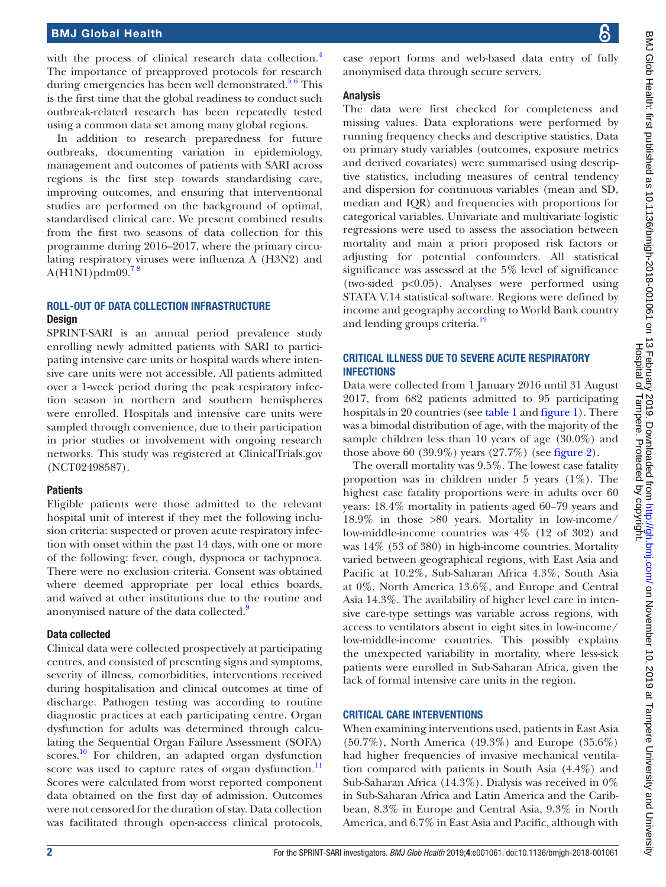#### BMJ Global Health

with the process of clinical research data collection.<sup>[4](#page-5-3)</sup> The importance of preapproved protocols for research during emergencies has been well demonstrated.<sup>5.6</sup> This is the first time that the global readiness to conduct such outbreak-related research has been repeatedly tested using a common data set among many global regions.

In addition to research preparedness for future outbreaks, documenting variation in epidemiology, management and outcomes of patients with SARI across regions is the first step towards standardising care, improving outcomes, and ensuring that interventional studies are performed on the background of optimal, standardised clinical care. We present combined results from the first two seasons of data collection for this programme during 2016–2017, where the primary circulating respiratory viruses were influenza A (H3N2) and  $A(H1N1)$ pdm09.<sup>78</sup>

## Roll-out of data collection infrastructure **Design**

SPRINT-SARI is an annual period prevalence study enrolling newly admitted patients with SARI to participating intensive care units or hospital wards where intensive care units were not accessible. All patients admitted over a 1-week period during the peak respiratory infection season in northern and southern hemispheres were enrolled. Hospitals and intensive care units were sampled through convenience, due to their participation in prior studies or involvement with ongoing research networks. This study was registered at ClinicalTrials.gov (NCT02498587).

#### **Patients**

Eligible patients were those admitted to the relevant hospital unit of interest if they met the following inclusion criteria: suspected or proven acute respiratory infection with onset within the past 14 days, with one or more of the following: fever, cough, dyspnoea or tachypnoea. There were no exclusion criteria. Consent was obtained where deemed appropriate per local ethics boards, and waived at other institutions due to the routine and anonymised nature of the data collected.<sup>[9](#page-5-6)</sup>

#### Data collected

Clinical data were collected prospectively at participating centres, and consisted of presenting signs and symptoms, severity of illness, comorbidities, interventions received during hospitalisation and clinical outcomes at time of discharge. Pathogen testing was according to routine diagnostic practices at each participating centre. Organ dysfunction for adults was determined through calculating the Sequential Organ Failure Assessment (SOFA) scores.<sup>10</sup> For children, an adapted organ dysfunction score was used to capture rates of organ dysfunction.<sup>[11](#page-6-0)</sup> Scores were calculated from worst reported component data obtained on the first day of admission. Outcomes were not censored for the duration of stay. Data collection was facilitated through open-access clinical protocols,

case report forms and web-based data entry of fully anonymised data through secure servers.

#### Analysis

The data were first checked for completeness and missing values. Data explorations were performed by running frequency checks and descriptive statistics. Data on primary study variables (outcomes, exposure metrics and derived covariates) were summarised using descriptive statistics, including measures of central tendency and dispersion for continuous variables (mean and SD, median and IQR) and frequencies with proportions for categorical variables. Univariate and multivariate logistic regressions were used to assess the association between mortality and main a priori proposed risk factors or adjusting for potential confounders. All statistical significance was assessed at the 5% level of significance (two-sided p<0.05). Analyses were performed using STATA V.14 statistical software. Regions were defined by income and geography according to World Bank country and lending groups criteria.<sup>[12](#page-6-1)</sup>

## Critical illness due to severe acute respiratory **INFECTIONS**

Data were collected from 1 January 2016 until 31 August 2017, from 682 patients admitted to 95 participating hospitals in 20 countries (see [table](#page-2-0) 1 and [figure](#page-2-1) 1). There was a bimodal distribution of age, with the majority of the sample children less than 10 years of age (30.0%) and those above 60 (39.9%) years (27.7%) (see [figure](#page-2-2) 2).

The overall mortality was 9.5%. The lowest case fatality proportion was in children under 5 years  $(1\%)$ . The highest case fatality proportions were in adults over 60 years: 18.4% mortality in patients aged 60–79 years and 18.9% in those >80 years. Mortality in low-income/ low-middle-income countries was 4% (12 of 302) and was 14% (53 of 380) in high-income countries. Mortality varied between geographical regions, with East Asia and Pacific at 10.2%, Sub-Saharan Africa 4.3%, South Asia at 0%, North America 13.6%, and Europe and Central Asia 14.3%. The availability of higher level care in intensive care-type settings was variable across regions, with access to ventilators absent in eight sites in low-income/ low-middle-income countries. This possibly explains the unexpected variability in mortality, where less-sick patients were enrolled in Sub-Saharan Africa, given the lack of formal intensive care units in the region.

#### Critical care interventions

When examining interventions used, patients in East Asia (50.7%), North America (49.3%) and Europe (35.6%) had higher frequencies of invasive mechanical ventilation compared with patients in South Asia (4.4%) and Sub-Saharan Africa (14.3%). Dialysis was received in 0% in Sub-Saharan Africa and Latin America and the Caribbean, 8.3% in Europe and Central Asia, 9.3% in North America, and 6.7% in East Asia and Pacific, although with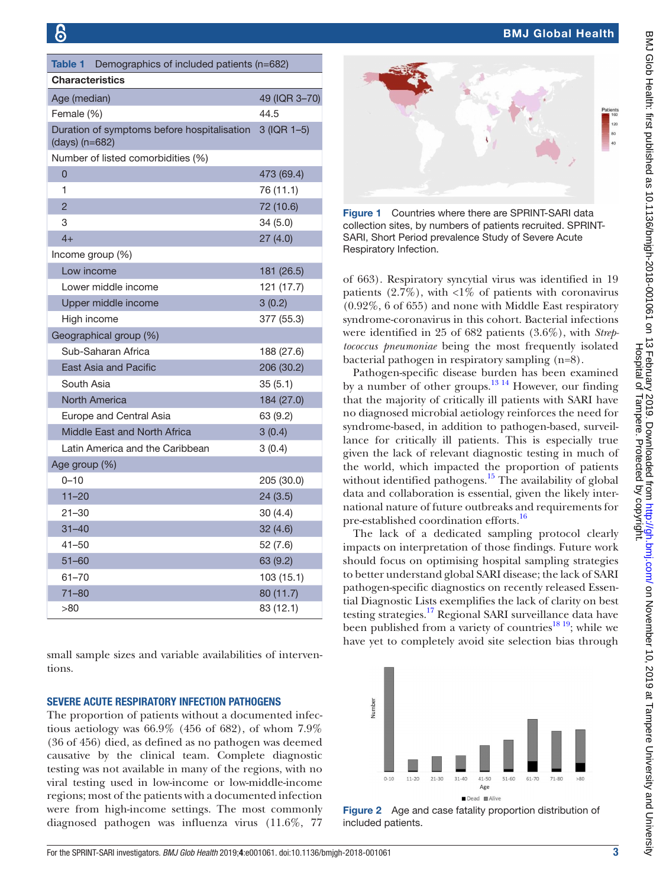<span id="page-2-0"></span>

| Demographics of included patients (n=682)<br>Table 1          |               |  |  |  |
|---------------------------------------------------------------|---------------|--|--|--|
| <b>Characteristics</b>                                        |               |  |  |  |
| Age (median)                                                  | 49 (IQR 3-70) |  |  |  |
| Female (%)                                                    | 44.5          |  |  |  |
| Duration of symptoms before hospitalisation<br>(days) (n=682) | $3$ (IQR 1-5) |  |  |  |
| Number of listed comorbidities (%)                            |               |  |  |  |
| 0                                                             | 473 (69.4)    |  |  |  |
| 1                                                             | 76 (11.1)     |  |  |  |
| $\overline{2}$                                                | 72 (10.6)     |  |  |  |
| 3                                                             | 34 (5.0)      |  |  |  |
| $4+$                                                          | 27(4.0)       |  |  |  |
| Income group (%)                                              |               |  |  |  |
| Low income                                                    | 181 (26.5)    |  |  |  |
| Lower middle income                                           | 121 (17.7)    |  |  |  |
| Upper middle income                                           | 3(0.2)        |  |  |  |
| High income                                                   | 377 (55.3)    |  |  |  |
| Geographical group (%)                                        |               |  |  |  |
| Sub-Saharan Africa                                            | 188 (27.6)    |  |  |  |
| <b>East Asia and Pacific</b>                                  | 206 (30.2)    |  |  |  |
| South Asia                                                    | 35(5.1)       |  |  |  |
| <b>North America</b>                                          | 184 (27.0)    |  |  |  |
| Europe and Central Asia                                       | 63 (9.2)      |  |  |  |
| Middle East and North Africa                                  | 3(0.4)        |  |  |  |
| Latin America and the Caribbean                               | 3(0.4)        |  |  |  |
| Age group (%)                                                 |               |  |  |  |
| $0 - 10$                                                      | 205 (30.0)    |  |  |  |
| $11 - 20$                                                     | 24 (3.5)      |  |  |  |
| $21 - 30$                                                     | 30 (4.4)      |  |  |  |
| $31 - 40$                                                     | 32(4.6)       |  |  |  |
| $41 - 50$                                                     | 52(7.6)       |  |  |  |
| $51 - 60$                                                     | 63 (9.2)      |  |  |  |
| $61 - 70$                                                     | 103 (15.1)    |  |  |  |
| $71 - 80$                                                     | 80 (11.7)     |  |  |  |
| > 80                                                          | 83 (12.1)     |  |  |  |

small sample sizes and variable availabilities of interventions.

#### Severe acute respiratory infection pathogens

The proportion of patients without a documented infectious aetiology was 66.9% (456 of 682), of whom 7.9% (36 of 456) died, as defined as no pathogen was deemed causative by the clinical team. Complete diagnostic testing was not available in many of the regions, with no viral testing used in low-income or low-middle-income regions; most of the patients with a documented infection were from high-income settings. The most commonly diagnosed pathogen was influenza virus (11.6%, 77



Figure 1 Countries where there are SPRINT-SARI data collection sites, by numbers of patients recruited. SPRINT-SARI, Short Period prevalence Study of Severe Acute Respiratory Infection.

<span id="page-2-1"></span>of 663). Respiratory syncytial virus was identified in 19 patients  $(2.7\%)$ , with  $\langle 1\%$  of patients with coronavirus (0.92%, 6 of 655) and none with Middle East respiratory syndrome-coronavirus in this cohort. Bacterial infections were identified in 25 of 682 patients (3.6%), with *Streptococcus pneumoniae* being the most frequently isolated bacterial pathogen in respiratory sampling (n=8).

Pathogen-specific disease burden has been examined by a number of other groups. $^{13}$  14 However, our finding that the majority of critically ill patients with SARI have no diagnosed microbial aetiology reinforces the need for syndrome-based, in addition to pathogen-based, surveillance for critically ill patients. This is especially true given the lack of relevant diagnostic testing in much of the world, which impacted the proportion of patients without identified pathogens.<sup>15</sup> The availability of global data and collaboration is essential, given the likely international nature of future outbreaks and requirements for pre-established coordination efforts.<sup>[16](#page-6-4)</sup>

The lack of a dedicated sampling protocol clearly impacts on interpretation of those findings. Future work should focus on optimising hospital sampling strategies to better understand global SARI disease; the lack of SARI pathogen-specific diagnostics on recently released Essential Diagnostic Lists exemplifies the lack of clarity on best testing strategies.<sup>17</sup> Regional SARI surveillance data have been published from a variety of countries<sup>18 19</sup>; while we have yet to completely avoid site selection bias through



<span id="page-2-2"></span>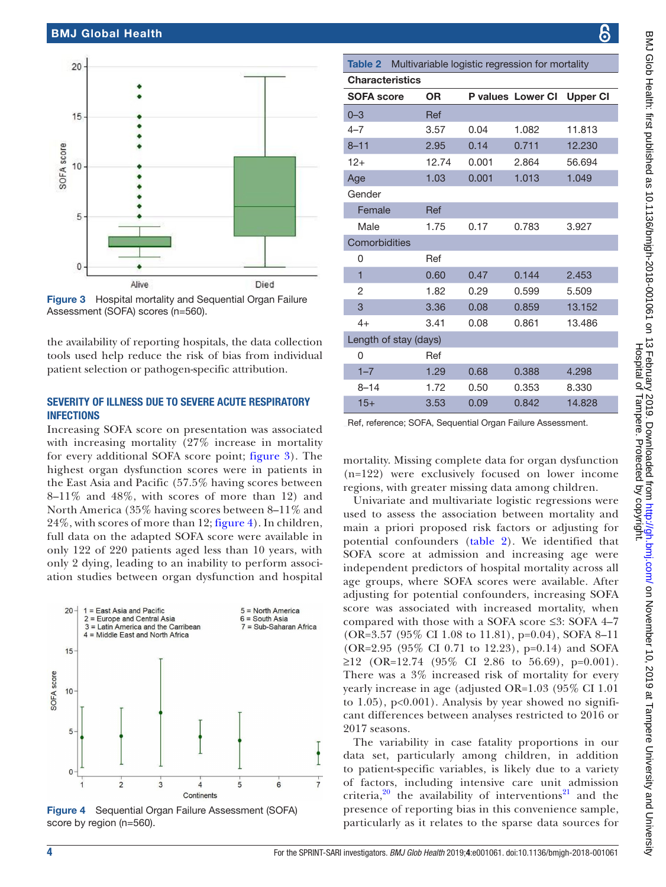

<span id="page-3-0"></span>Figure 3 Hospital mortality and Sequential Organ Failure Assessment (SOFA) scores (n=560).

the availability of reporting hospitals, the data collection tools used help reduce the risk of bias from individual patient selection or pathogen-specific attribution.

#### SEVERITY OF ILLNESS DUE TO SEVERE ACUTE RESPIRATORY **INFECTIONS**

Increasing SOFA score on presentation was associated with increasing mortality (27% increase in mortality for every additional SOFA score point; [figure](#page-3-0) 3). The highest organ dysfunction scores were in patients in the East Asia and Pacific (57.5% having scores between 8–11% and 48%, with scores of more than 12) and North America (35% having scores between 8–11% and 24%, with scores of more than 12; [figure](#page-3-1) 4). In children, full data on the adapted SOFA score were available in only 122 of 220 patients aged less than 10 years, with only 2 dying, leading to an inability to perform association studies between organ dysfunction and hospital



<span id="page-3-1"></span>Figure 4 Sequential Organ Failure Assessment (SOFA) score by region (n=560).

<span id="page-3-2"></span>

| Table 2<br>Multivariable logistic regression for mortality |           |       |                   |                 |  |
|------------------------------------------------------------|-----------|-------|-------------------|-----------------|--|
| <b>Characteristics</b>                                     |           |       |                   |                 |  |
| <b>SOFA score</b>                                          | <b>OR</b> |       | P values Lower CI | <b>Upper CI</b> |  |
| $0 - 3$                                                    | Ref       |       |                   |                 |  |
| $4 - 7$                                                    | 3.57      | 0.04  | 1.082             | 11.813          |  |
| $8 - 11$                                                   | 2.95      | 0.14  | 0.711             | 12.230          |  |
| $12+$                                                      | 12.74     | 0.001 | 2.864             | 56.694          |  |
| Age                                                        | 1.03      | 0.001 | 1.013             | 1.049           |  |
| Gender                                                     |           |       |                   |                 |  |
| Female                                                     | Ref       |       |                   |                 |  |
| Male                                                       | 1.75      | 0.17  | 0.783             | 3.927           |  |
| Comorbidities                                              |           |       |                   |                 |  |
| 0                                                          | Ref       |       |                   |                 |  |
| $\overline{1}$                                             | 0.60      | 0.47  | 0.144             | 2.453           |  |
| 2                                                          | 1.82      | 0.29  | 0.599             | 5.509           |  |
| 3                                                          | 3.36      | 0.08  | 0.859             | 13.152          |  |
| $4+$                                                       | 3.41      | 0.08  | 0.861             | 13.486          |  |
| Length of stay (days)                                      |           |       |                   |                 |  |
| 0                                                          | Ref       |       |                   |                 |  |
| $1 - 7$                                                    | 1.29      | 0.68  | 0.388             | 4.298           |  |
| $8 - 14$                                                   | 1.72      | 0.50  | 0.353             | 8.330           |  |
| $15+$                                                      | 3.53      | 0.09  | 0.842             | 14.828          |  |

Ref, reference; SOFA, Sequential Organ Failure Assessment.

mortality. Missing complete data for organ dysfunction (n=122) were exclusively focused on lower income regions, with greater missing data among children.

Univariate and multivariate logistic regressions were used to assess the association between mortality and main a priori proposed risk factors or adjusting for potential confounders [\(table](#page-3-2) 2). We identified that SOFA score at admission and increasing age were independent predictors of hospital mortality across all age groups, where SOFA scores were available. After adjusting for potential confounders, increasing SOFA score was associated with increased mortality, when compared with those with a SOFA score ≤3: SOFA 4–7 (OR=3.57 (95% CI 1.08 to 11.81), p=0.04), SOFA 8–11 (OR=2.95 (95% CI 0.71 to 12.23), p=0.14) and SOFA  $≥12$  (OR=12.74 (95% CI 2.86 to 56.69), p=0.001). There was a 3% increased risk of mortality for every yearly increase in age (adjusted OR=1.03 (95% CI 1.01 to  $1.05$ ),  $p<0.001$ ). Analysis by year showed no significant differences between analyses restricted to 2016 or 2017 seasons.

The variability in case fatality proportions in our data set, particularly among children, in addition to patient-specific variables, is likely due to a variety of factors, including intensive care unit admission criteria, $^{20}$  $^{20}$  $^{20}$  the availability of interventions<sup>21</sup> and the presence of reporting bias in this convenience sample, particularly as it relates to the sparse data sources for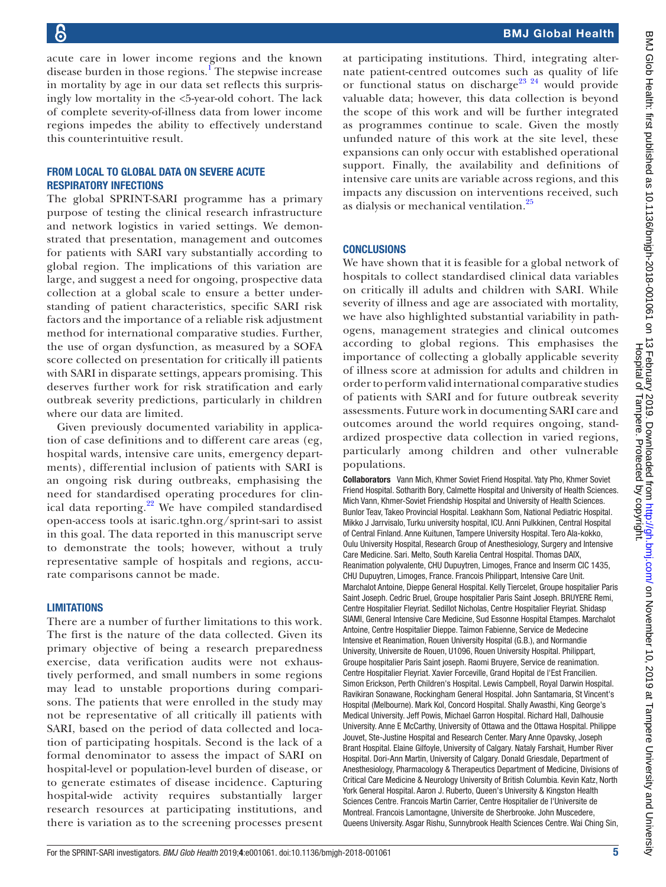acute care in lower income regions and the known disease burden in those regions.<sup>[1](#page-5-0)</sup> The stepwise increase in mortality by age in our data set reflects this surprisingly low mortality in the <5-year-old cohort. The lack of complete severity-of-illness data from lower income regions impedes the ability to effectively understand this counterintuitive result.

#### From local to global data on severe acute respiratory infections

The global SPRINT-SARI programme has a primary purpose of testing the clinical research infrastructure and network logistics in varied settings. We demonstrated that presentation, management and outcomes for patients with SARI vary substantially according to global region. The implications of this variation are large, and suggest a need for ongoing, prospective data collection at a global scale to ensure a better understanding of patient characteristics, specific SARI risk factors and the importance of a reliable risk adjustment method for international comparative studies. Further, the use of organ dysfunction, as measured by a SOFA score collected on presentation for critically ill patients with SARI in disparate settings, appears promising. This deserves further work for risk stratification and early outbreak severity predictions, particularly in children where our data are limited.

Given previously documented variability in application of case definitions and to different care areas (eg, hospital wards, intensive care units, emergency departments), differential inclusion of patients with SARI is an ongoing risk during outbreaks, emphasising the need for standardised operating procedures for clin-ical data reporting.<sup>[22](#page-6-9)</sup> We have compiled standardised open-access tools at [isaric.tghn.org/sprint-sari](https://isaric.tghn.org/sprint-sari/) to assist in this goal. The data reported in this manuscript serve to demonstrate the tools; however, without a truly representative sample of hospitals and regions, accurate comparisons cannot be made.

#### **LIMITATIONS**

There are a number of further limitations to this work. The first is the nature of the data collected. Given its primary objective of being a research preparedness exercise, data verification audits were not exhaustively performed, and small numbers in some regions may lead to unstable proportions during comparisons. The patients that were enrolled in the study may not be representative of all critically ill patients with SARI, based on the period of data collected and location of participating hospitals. Second is the lack of a formal denominator to assess the impact of SARI on hospital-level or population-level burden of disease, or to generate estimates of disease incidence. Capturing hospital-wide activity requires substantially larger research resources at participating institutions, and there is variation as to the screening processes present

at participating institutions. Third, integrating alternate patient-centred outcomes such as quality of life or functional status on discharge<sup>23</sup> <sup>24</sup> would provide valuable data; however, this data collection is beyond the scope of this work and will be further integrated as programmes continue to scale. Given the mostly unfunded nature of this work at the site level, these expansions can only occur with established operational support. Finally, the availability and definitions of intensive care units are variable across regions, and this impacts any discussion on interventions received, such as dialysis or mechanical ventilation.[25](#page-6-11)

### **CONCLUSIONS**

We have shown that it is feasible for a global network of hospitals to collect standardised clinical data variables on critically ill adults and children with SARI. While severity of illness and age are associated with mortality, we have also highlighted substantial variability in pathogens, management strategies and clinical outcomes according to global regions. This emphasises the importance of collecting a globally applicable severity of illness score at admission for adults and children in order to perform valid international comparative studies of patients with SARI and for future outbreak severity assessments. Future work in documenting SARI care and outcomes around the world requires ongoing, standardized prospective data collection in varied regions, particularly among children and other vulnerable populations.

Collaborators Vann Mich, Khmer Soviet Friend Hospital. Yaty Pho, Khmer Soviet Friend Hospital. Sotharith Bory, Calmette Hospital and University of Health Sciences. Mich Vann, Khmer-Soviet Friendship Hospital and University of Health Sciences. Bunlor Teav, Takeo Provincial Hospital. Leakhann Som, National Pediatric Hospital. Mikko J Jarrvisalo, Turku university hospital, ICU. Anni Pulkkinen, Central Hospital of Central Finland. Anne Kuitunen, Tampere University Hospital. Tero Ala-kokko, Oulu University Hospital, Research Group of Anesthesiology, Surgery and Intensive Care Medicine. Sari. Melto, South Karelia Central Hospital. Thomas DAIX, Reanimation polyvalente, CHU Dupuytren, Limoges, France and Inserm CIC 1435, CHU Dupuytren, Limoges, France. Francois Philippart, Intensive Care Unit. Marchalot Antoine, Dieppe General Hospital. Kelly Tiercelet, Groupe hospitalier Paris Saint Joseph. Cedric Bruel, Groupe hospitalier Paris Saint Joseph. BRUYERE Remi, Centre Hospitalier Fleyriat. Sedillot Nicholas, Centre Hospitalier Fleyriat. Shidasp SIAMI, General Intensive Care Medicine, Sud Essonne Hospital Etampes. Marchalot Antoine, Centre Hospitalier Dieppe. Taimon Fabienne, Service de Medecine Intensive et Reanimation, Rouen University Hospital (G.B.), and Normandie University, Universite de Rouen, U1096, Rouen University Hospital. Philippart, Groupe hospitalier Paris Saint joseph. Raomi Bruyere, Service de reanimation. Centre Hospitalier Fleyriat. Xavier Forceville, Grand Hopital de l'Est Francilien. Simon Erickson, Perth Children's Hospital. Lewis Campbell, Royal Darwin Hospital. Ravikiran Sonawane, Rockingham General Hospital. John Santamaria, St Vincent's Hospital (Melbourne). Mark Kol, Concord Hospital. Shally Awasthi, King George's Medical University. Jeff Powis, Michael Garron Hospital. Richard Hall, Dalhousie University. Anne E McCarthy, University of Ottawa and the Ottawa Hospital. Philippe Jouvet, Ste-Justine Hospital and Research Center. Mary Anne Opavsky, Joseph Brant Hospital. Elaine Gilfoyle, University of Calgary. Nataly Farshait, Humber River Hospital. Dori-Ann Martin, University of Calgary. Donald Griesdale, Department of Anesthesiology, Pharmacology & Therapeutics Department of Medicine, Divisions of Critical Care Medicine & Neurology University of British Columbia. Kevin Katz, North York General Hospital. Aaron J. Ruberto, Queen's University & Kingston Health Sciences Centre. Francois Martin Carrier, Centre Hospitalier de l'Universite de Montreal. Francois Lamontagne, Universite de Sherbrooke. John Muscedere, Queens University. Asgar Rishu, Sunnybrook Health Sciences Centre. Wai Ching Sin,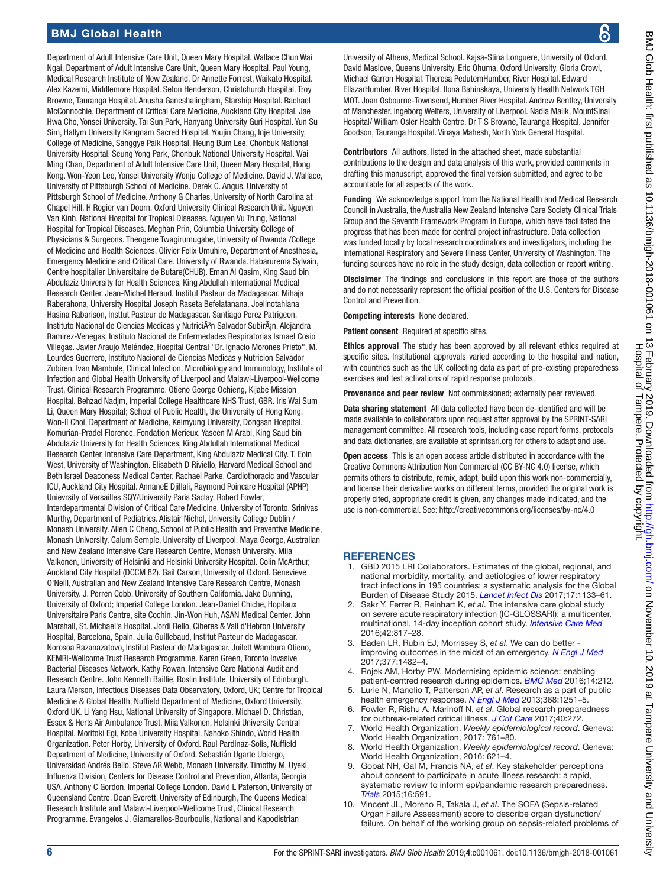## BMJ Global Health

Department of Adult Intensive Care Unit, Queen Mary Hospital. Wallace Chun Wai Ngai, Department of Adult Intensive Care Unit, Queen Mary Hospital. Paul Young, Medical Research Institute of New Zealand. Dr Annette Forrest, Waikato Hospital. Alex Kazemi, Middlemore Hospital. Seton Henderson, Christchurch Hospital. Troy Browne, Tauranga Hospital. Anusha Ganeshalingham, Starship Hospital. Rachael McConnochie, Department of Critical Care Medicine, Auckland City Hospital. Jae Hwa Cho, Yonsei University. Tai Sun Park, Hanyang University Guri Hospital. Yun Su Sim, Hallym University Kangnam Sacred Hospital. Youjin Chang, Inje University, College of Medicine, Sanggye Paik Hospital. Heung Bum Lee, Chonbuk National University Hospital. Seung Yong Park, Chonbuk National University Hospital. Wai Ming Chan, Department of Adult Intensive Care Unit, Queen Mary Hospital, Hong Kong. Won-Yeon Lee, Yonsei University Wonju College of Medicine. David J. Wallace, University of Pittsburgh School of Medicine. Derek C. Angus, University of Pittsburgh School of Medicine. Anthony G Charles, University of North Carolina at Chapel Hill. H Rogier van Doorn, Oxford University Clinical Research Unit. Nguyen Van Kinh, National Hospital for Tropical Diseases. Nguyen Vu Trung, National Hospital for Tropical Diseases. Meghan Prin, Columbia University College of Physicians & Surgeons. Theogene Twagirumugabe, University of Rwanda /College of Medicine and Health Sciences. Olivier Felix Umuhire, Department of Anesthesia, Emergency Medicine and Critical Care. University of Rwanda. Habarurema Sylvain, Centre hospitalier Universitaire de Butare(CHUB). Eman Al Qasim, King Saud bin Abdulaziz University for Health Sciences, King Abdullah International Medical Research Center. Jean-Michel Heraud, Institut Pasteur de Madagascar. Mihaja Raberahona, University Hospital Joseph Raseta Befelatanana. Joelinotahiana Hasina Rabarison, Insttut Pasteur de Madagascar. Santiago Perez Patrigeon, Instituto Nacional de Ciencias Medicas y NutriciÃ<sup>3</sup>n Salvador SubirÃ<sub>i</sub>n. Alejandra Ramirez-Venegas, Instituto Nacional de Enfermedades Respiratorias Ismael Cosio Villegas. Javier Araujo Meléndez, Hospital Central "Dr. Ignacio Morones Prieto". M. Lourdes Guerrero, Instituto Nacional de Ciencias Medicas y Nutricion Salvador Zubiren. Ivan Mambule, Clinical Infection, Microbiology and Immunology, Institute of Infection and Global Health University of Liverpool and Malawi-Liverpool-Wellcome Trust, Clinical Research Programme. Otieno George Ochieng, Kijabe Mission Hospital. Behzad Nadjm, Imperial College Healthcare NHS Trust, GBR. Iris Wai Sum Li, Queen Mary Hospital; School of Public Health, the University of Hong Kong. Won-Il Choi, Department of Medicine, Keimyung University, Dongsan Hospital. Komurian-Pradel Florence, Fondation Merieux. Yaseen M Arabi, King Saud bin Abdulaziz University for Health Sciences, King Abdullah International Medical Research Center, Intensive Care Department, King Abdulaziz Medical City. T. Eoin West, University of Washington. Elisabeth D Riviello, Harvard Medical School and Beth Israel Deaconess Medical Center. Rachael Parke, Cardiothoracic and Vascular ICU, Auckland City Hospital. AnnaneE Djillali, Raymond Poincare Hospital (APHP) Unievrsity of Versailles SQY/University Paris Saclay. Robert Fowler, Interdepartmental Division of Critical Care Medicine, University of Toronto. Srinivas Murthy, Department of Pediatrics. Alistair Nichol, University College Dublin / Monash University. Allen C Cheng, School of Public Health and Preventive Medicine, Monash University. Calum Semple, University of Liverpool. Maya George, Australian and New Zealand Intensive Care Research Centre, Monash University. Miia Valkonen, University of Helsinki and Helsinki University Hospital. Colin McArthur, Auckland City Hospital (DCCM 82). Gail Carson, University of Oxford. Genevieve O'Neill, Australian and New Zealand Intensive Care Research Centre, Monash University. J. Perren Cobb, University of Southern California. Jake Dunning, University of Oxford; Imperial College London. Jean-Daniel Chiche, Hopitaux Universitaire Paris Centre, site Cochin. Jin-Won Huh, ASAN Medical Center. John Marshall, St. Michael's Hospital. Jordi Rello, Ciberes & Vall d'Hebron University Hospital, Barcelona, Spain. Julia Guillebaud, Institut Pasteur de Madagascar. Norosoa Razanazatovo, Institut Pasteur de Madagascar. Juilett Wambura Otieno, KEMRI-Wellcome Trust Research Programme. Karen Green, Toronto Invasive Bacterial Diseases Network. Kathy Rowan, Intensive Care National Audit and Research Centre. John Kenneth Baillie, Roslin Institute, University of Edinburgh. Laura Merson, Infectious Diseases Data Observatory, Oxford, UK; Centre for Tropical Medicine & Global Health, Nuffield Department of Medicine, Oxford University, Oxford UK. Li Yang Hsu, National University of Singapore. Michael D. Christian, Essex & Herts Air Ambulance Trust. Miia Valkonen, Helsinki University Central Hospital. Moritoki Egi, Kobe University Hospital. Nahoko Shindo, World Health Organization. Peter Horby, University of Oxford. Raul Pardinaz-Solis, Nuffield Department of Medicine, University of Oxford. Sebastián Ugarte Ubiergo, Universidad Andrés Bello. Steve AR Webb, Monash University. Timothy M. Uyeki, Influenza Division, Centers for Disease Control and Prevention, Atlanta, Georgia USA. Anthony C Gordon, Imperial College London. David L Paterson, University of Queensland Centre. Dean Everett, University of Edinburgh, The Queens Medical Research Institute and Malawi-Liverpool-Wellcome Trust, Clinical Research Programme. Evangelos J. Giamarellos-Bourboulis, National and Kapodistrian

University of Athens, Medical School. Kajsa-Stina Longuere, University of Oxford. David Maslove, Queens University. Eric Ohuma, Oxford University. Gloria Crowl, Michael Garron Hospital. Theresa PedutemHumber, River Hospital. Edward EllazarHumber, River Hospital. Ilona Bahinskaya, University Health Network TGH MOT. Joan Osbourne-Townsend, Humber River Hospital. Andrew Bentley, University of Manchester. Ingeborg Welters, University of Liverpool. Nadia Malik, MountSinai Hospital/ William Osler Health Centre. Dr T S Browne, Tauranga Hospital. Jennifer Goodson, Tauranga Hospital. Vinaya Mahesh, North York General Hospital.

Contributors All authors, listed in the attached sheet, made substantial contributions to the design and data analysis of this work, provided comments in drafting this manuscript, approved the final version submitted, and agree to be accountable for all aspects of the work.

Funding We acknowledge support from the National Health and Medical Research Council in Australia, the Australia New Zealand Intensive Care Society Clinical Trials Group and the Seventh Framework Program in Europe, which have facilitated the progress that has been made for central project infrastructure. Data collection was funded locally by local research coordinators and investigators, including the International Respiratory and Severe Illness Center, University of Washington. The funding sources have no role in the study design, data collection or report writing.

**Disclaimer** The findings and conclusions in this report are those of the authors and do not necessarily represent the official position of the U.S. Centers for Disease Control and Prevention.

Competing interests None declared.

Patient consent Required at specific sites.

Ethics approval The study has been approved by all relevant ethics required at specific sites. Institutional approvals varied according to the hospital and nation, with countries such as the UK collecting data as part of pre-existing preparedness exercises and test activations of rapid response protocols.

Provenance and peer review Not commissioned; externally peer reviewed.

Data sharing statement All data collected have been de-identified and will be made available to collaborators upon request after approval by the SPRINT-SARI management committee. All research tools, including case report forms, protocols and data dictionaries, are available at sprintsari.org for others to adapt and use.

Open access This is an open access article distributed in accordance with the Creative Commons Attribution Non Commercial (CC BY-NC 4.0) license, which permits others to distribute, remix, adapt, build upon this work non-commercially, and license their derivative works on different terms, provided the original work is properly cited, appropriate credit is given, any changes made indicated, and the use is non-commercial. See: <http://creativecommons.org/licenses/by-nc/4.0>

#### **REFERENCES**

- <span id="page-5-0"></span>1. GBD 2015 LRI Collaborators. Estimates of the global, regional, and national morbidity, mortality, and aetiologies of lower respiratory tract infections in 195 countries: a systematic analysis for the Global Burden of Disease Study 2015. *[Lancet Infect Dis](http://dx.doi.org/10.1016/S1473-3099(17)30396-1)* 2017;17:1133–61.
- <span id="page-5-1"></span>2. Sakr Y, Ferrer R, Reinhart K, *et al*. The intensive care global study on severe acute respiratory infection (IC-GLOSSARI): a multicenter, multinational, 14-day inception cohort study. *[Intensive Care Med](http://dx.doi.org/10.1007/s00134-015-4206-2)* 2016;42:817–28.
- <span id="page-5-2"></span>3. Baden LR, Rubin EJ, Morrissey S, *et al*. We can do better improving outcomes in the midst of an emergency. *[N Engl J Med](http://dx.doi.org/10.1056/NEJMe1712330)* 2017;377:1482–4.
- <span id="page-5-3"></span>4. Rojek AM, Horby PW. Modernising epidemic science: enabling patient-centred research during epidemics. *[BMC Med](http://dx.doi.org/10.1186/s12916-016-0760-x)* 2016;14:212.
- <span id="page-5-4"></span>5. Lurie N, Manolio T, Patterson AP, *et al*. Research as a part of public health emergency response. *[N Engl J Med](http://dx.doi.org/10.1056/NEJMsb1209510)* 2013;368:1251–5.
- 6. Fowler R, Rishu A, Marinoff N, *et al*. Global research preparedness for outbreak-related critical illness. *[J Crit Care](http://dx.doi.org/10.1016/j.jcrc.2017.03.024)* 2017;40:272.
- <span id="page-5-5"></span>7. World Health Organization. *Weekly epidemiological record*. Geneva: World Health Organization, 2017: 761–80.
- 8. World Health Organization. *Weekly epidemiological record*. Geneva: World Health Organization, 2016: 621–4.
- <span id="page-5-6"></span>9. Gobat NH, Gal M, Francis NA, *et al*. Key stakeholder perceptions about consent to participate in acute illness research: a rapid, systematic review to inform epi/pandemic research preparedness. *[Trials](http://dx.doi.org/10.1186/s13063-015-1110-6)* 2015;16:591.
- <span id="page-5-7"></span>10. Vincent JL, Moreno R, Takala J, *et al*. The SOFA (Sepsis-related Organ Failure Assessment) score to describe organ dysfunction/ failure. On behalf of the working group on sepsis-related problems of